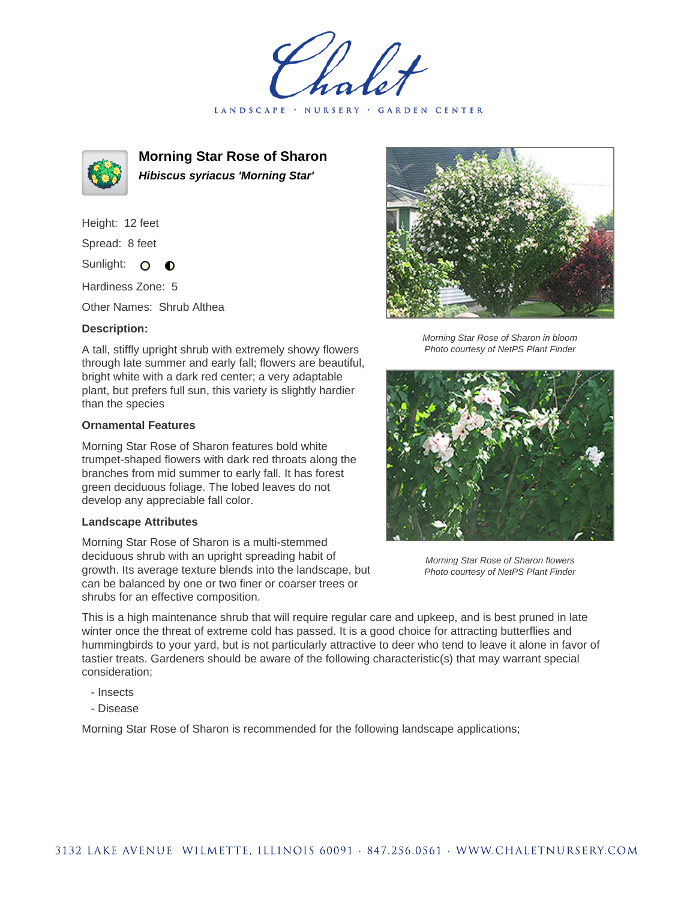LANDSCAPE · NURSERY · GARDEN CENTER



**Morning Star Rose of Sharon Hibiscus syriacus 'Morning Star'**

Height: 12 feet Spread: 8 feet

Sunlight: O  $\bullet$ 

Hardiness Zone: 5

Other Names: Shrub Althea

## **Description:**

A tall, stiffly upright shrub with extremely showy flowers through late summer and early fall; flowers are beautiful, bright white with a dark red center; a very adaptable plant, but prefers full sun, this variety is slightly hardier than the species

## **Ornamental Features**

Morning Star Rose of Sharon features bold white trumpet-shaped flowers with dark red throats along the branches from mid summer to early fall. It has forest green deciduous foliage. The lobed leaves do not develop any appreciable fall color.

## **Landscape Attributes**

Morning Star Rose of Sharon is a multi-stemmed deciduous shrub with an upright spreading habit of growth. Its average texture blends into the landscape, but can be balanced by one or two finer or coarser trees or shrubs for an effective composition.



Morning Star Rose of Sharon in bloom Photo courtesy of NetPS Plant Finder



Morning Star Rose of Sharon flowers Photo courtesy of NetPS Plant Finder

This is a high maintenance shrub that will require regular care and upkeep, and is best pruned in late winter once the threat of extreme cold has passed. It is a good choice for attracting butterflies and hummingbirds to your yard, but is not particularly attractive to deer who tend to leave it alone in favor of tastier treats. Gardeners should be aware of the following characteristic(s) that may warrant special consideration;

- Insects
- Disease

Morning Star Rose of Sharon is recommended for the following landscape applications;